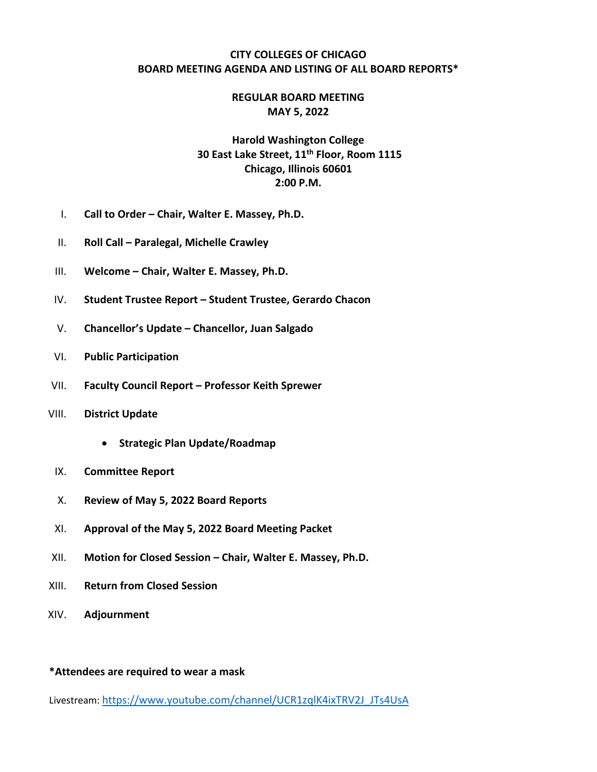#### **CITY COLLEGES OF CHICAGO BOARD MEETING AGENDA AND LISTING OF ALL BOARD REPORTS\***

### **REGULAR BOARD MEETING MAY 5, 2022**

# **Harold Washington College 30 East Lake Street, 11th Floor, Room 1115 Chicago, Illinois 60601 2:00 P.M.**

- I. **Call to Order – Chair, Walter E. Massey, Ph.D.**
- II. **Roll Call – Paralegal, Michelle Crawley**
- III. **Welcome – Chair, Walter E. Massey, Ph.D.**
- IV. **Student Trustee Report – Student Trustee, Gerardo Chacon**
- V. **Chancellor's Update – Chancellor, Juan Salgado**
- VI. **Public Participation**
- VII. **Faculty Council Report – Professor Keith Sprewer**
- VIII. **District Update**
	- **Strategic Plan Update/Roadmap**
	- IX. **Committee Report**
	- X. **Review of May 5, 2022 Board Reports**
- XI. **Approval of the May 5, 2022 Board Meeting Packet**
- XII. **Motion for Closed Session – Chair, Walter E. Massey, Ph.D.**
- XIII. **Return from Closed Session**
- XIV. **Adjournment**

#### **\*Attendees are required to wear a mask**

Livestream: https://www.youtube.com/channel/UCR1zqlK4ixTRV2J\_JTs4UsA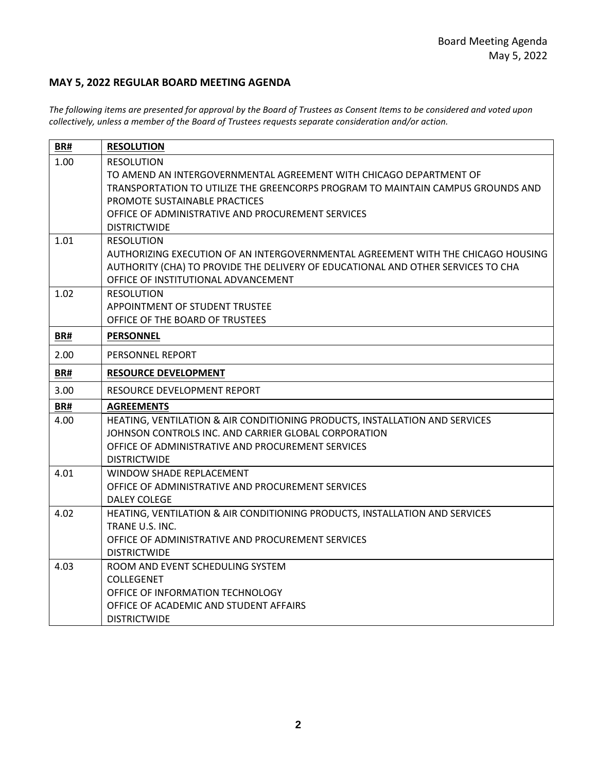## **MAY 5, 2022 REGULAR BOARD MEETING AGENDA**

*The following items are presented for approval by the Board of Trustees as Consent Items to be considered and voted upon collectively, unless a member of the Board of Trustees requests separate consideration and/or action.*

| BR#  | <b>RESOLUTION</b>                                                                                                       |
|------|-------------------------------------------------------------------------------------------------------------------------|
| 1.00 | <b>RESOLUTION</b>                                                                                                       |
|      | TO AMEND AN INTERGOVERNMENTAL AGREEMENT WITH CHICAGO DEPARTMENT OF                                                      |
|      | TRANSPORTATION TO UTILIZE THE GREENCORPS PROGRAM TO MAINTAIN CAMPUS GROUNDS AND                                         |
|      | PROMOTE SUSTAINABLE PRACTICES                                                                                           |
|      | OFFICE OF ADMINISTRATIVE AND PROCUREMENT SERVICES                                                                       |
|      | <b>DISTRICTWIDE</b>                                                                                                     |
| 1.01 | <b>RESOLUTION</b>                                                                                                       |
|      | AUTHORIZING EXECUTION OF AN INTERGOVERNMENTAL AGREEMENT WITH THE CHICAGO HOUSING                                        |
|      | AUTHORITY (CHA) TO PROVIDE THE DELIVERY OF EDUCATIONAL AND OTHER SERVICES TO CHA<br>OFFICE OF INSTITUTIONAL ADVANCEMENT |
| 1.02 | <b>RESOLUTION</b>                                                                                                       |
|      | APPOINTMENT OF STUDENT TRUSTEE                                                                                          |
|      | OFFICE OF THE BOARD OF TRUSTEES                                                                                         |
| BR#  | <b>PERSONNEL</b>                                                                                                        |
| 2.00 | PERSONNEL REPORT                                                                                                        |
| BR#  | <b>RESOURCE DEVELOPMENT</b>                                                                                             |
|      |                                                                                                                         |
| 3.00 | RESOURCE DEVELOPMENT REPORT                                                                                             |
| BR#  | <b>AGREEMENTS</b>                                                                                                       |
| 4.00 | HEATING, VENTILATION & AIR CONDITIONING PRODUCTS, INSTALLATION AND SERVICES                                             |
|      | JOHNSON CONTROLS INC. AND CARRIER GLOBAL CORPORATION<br>OFFICE OF ADMINISTRATIVE AND PROCUREMENT SERVICES               |
|      | <b>DISTRICTWIDE</b>                                                                                                     |
| 4.01 | WINDOW SHADE REPLACEMENT                                                                                                |
|      | OFFICE OF ADMINISTRATIVE AND PROCUREMENT SERVICES                                                                       |
|      | <b>DALEY COLEGE</b>                                                                                                     |
| 4.02 | HEATING, VENTILATION & AIR CONDITIONING PRODUCTS, INSTALLATION AND SERVICES                                             |
|      | TRANE U.S. INC.                                                                                                         |
|      | OFFICE OF ADMINISTRATIVE AND PROCUREMENT SERVICES                                                                       |
|      | <b>DISTRICTWIDE</b>                                                                                                     |
| 4.03 | ROOM AND EVENT SCHEDULING SYSTEM                                                                                        |
|      | <b>COLLEGENET</b>                                                                                                       |
|      | OFFICE OF INFORMATION TECHNOLOGY                                                                                        |
|      | OFFICE OF ACADEMIC AND STUDENT AFFAIRS                                                                                  |
|      | <b>DISTRICTWIDE</b>                                                                                                     |